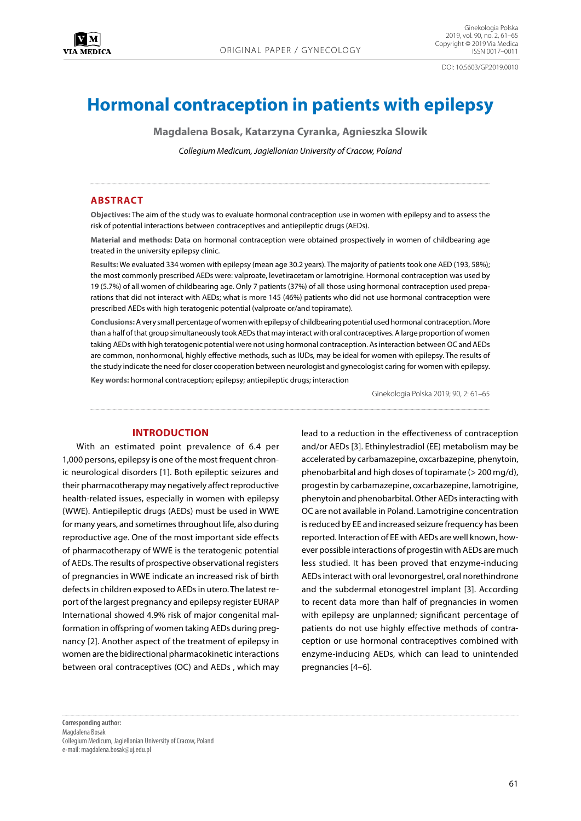DOI: 10.5603/GP.2019.0010

# **Hormonal contraception in patients with epilepsy**

**Magdalena Bosak, Katarzyna Cyranka, Agnieszka Slowik**

*Collegium Medicum, Jagiellonian University of Cracow, Poland*

## **ABSTRACT**

**Objectives:** The aim of the study was to evaluate hormonal contraception use in women with epilepsy and to assess the risk of potential interactions between contraceptives and antiepileptic drugs (AEDs).

**Material and methods:** Data on hormonal contraception were obtained prospectively in women of childbearing age treated in the university epilepsy clinic.

**Results:** We evaluated 334 women with epilepsy (mean age 30.2 years). The majority of patients took one AED (193, 58%); the most commonly prescribed AEDs were: valproate, levetiracetam or lamotrigine. Hormonal contraception was used by 19 (5.7%) of all women of childbearing age. Only 7 patients (37%) of all those using hormonal contraception used preparations that did not interact with AEDs; what is more 145 (46%) patients who did not use hormonal contraception were prescribed AEDs with high teratogenic potential (valproate or/and topiramate).

**Conclusions:** A very small percentage of women with epilepsy of childbearing potential used hormonal contraception. More than a half of that group simultaneously took AEDs that may interact with oral contraceptives. A large proportion of women taking AEDs with high teratogenic potential were not using hormonal contraception. As interaction between OC and AEDs are common, nonhormonal, highly effective methods, such as IUDs, may be ideal for women with epilepsy. The results of the study indicate the need for closer cooperation between neurologist and gynecologist caring for women with epilepsy.

**Key words:** hormonal contraception; epilepsy; antiepileptic drugs; interaction

Ginekologia Polska 2019; 90, 2: 61–65

## **INTRODUCTION**

With an estimated point prevalence of 6.4 per 1,000 persons, epilepsy is one of the most frequent chronic neurological disorders [1]. Both epileptic seizures and their pharmacotherapy may negatively affect reproductive health-related issues, especially in women with epilepsy (WWE). Antiepileptic drugs (AEDs) must be used in WWE for many years, and sometimes throughout life, also during reproductive age. One of the most important side effects of pharmacotherapy of WWE is the teratogenic potential of AEDs. The results of prospective observational registers of pregnancies in WWE indicate an increased risk of birth defects in children exposed to AEDs in utero. The latest report of the largest pregnancy and epilepsy register EURAP International showed 4.9% risk of major congenital malformation in offspring of women taking AEDs during pregnancy [2]. Another aspect of the treatment of epilepsy in women are the bidirectional pharmacokinetic interactions between oral contraceptives (OC) and AEDs , which may lead to a reduction in the effectiveness of contraception and/or AEDs [3]. Ethinylestradiol (EE) metabolism may be accelerated by carbamazepine, oxcarbazepine, phenytoin, phenobarbital and high doses of topiramate (> 200 mg/d), progestin by carbamazepine, oxcarbazepine, lamotrigine, phenytoin and phenobarbital. Other AEDs interacting with OC are not available in Poland. Lamotrigine concentration is reduced by EE and increased seizure frequency has been reported. Interaction of EE with AEDs are well known, however possible interactions of progestin with AEDs are much less studied. It has been proved that enzyme-inducing AEDs interact with oral levonorgestrel, oral norethindrone and the subdermal etonogestrel implant [3]. According to recent data more than half of pregnancies in women with epilepsy are unplanned; significant percentage of patients do not use highly effective methods of contraception or use hormonal contraceptives combined with enzyme-inducing AEDs, which can lead to unintended pregnancies [4–6].

**Corresponding author:** Magdalena Bosak Collegium Medicum, Jagiellonian University of Cracow, Poland e-mail: magdalena.bosak@uj.edu.pl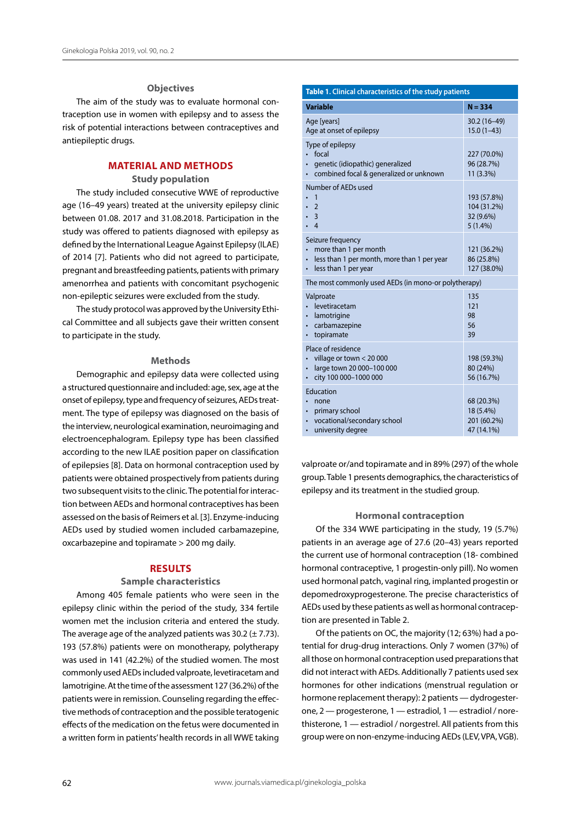## **Objectives**

The aim of the study was to evaluate hormonal contraception use in women with epilepsy and to assess the risk of potential interactions between contraceptives and antiepileptic drugs.

# **MATERIAL AND METHODS**

# **Study population**

The study included consecutive WWE of reproductive age (16–49 years) treated at the university epilepsy clinic between 01.08. 2017 and 31.08.2018. Participation in the study was offered to patients diagnosed with epilepsy as defined by the International League Against Epilepsy (ILAE) of 2014 [7]. Patients who did not agreed to participate, pregnant and breastfeeding patients, patients with primary amenorrhea and patients with concomitant psychogenic non-epileptic seizures were excluded from the study.

The study protocol was approved by the University Ethical Committee and all subjects gave their written consent to participate in the study.

## **Methods**

Demographic and epilepsy data were collected using a structured questionnaire and included: age, sex, age at the onset of epilepsy, type and frequency of seizures, AEDs treatment. The type of epilepsy was diagnosed on the basis of the interview, neurological examination, neuroimaging and electroencephalogram. Epilepsy type has been classified according to the new ILAE position paper on classification of epilepsies [8]. Data on hormonal contraception used by patients were obtained prospectively from patients during two subsequent visits to the clinic. The potential for interaction between AEDs and hormonal contraceptives has been assessed on the basis of Reimers et al. [3]. Enzyme-inducing AEDs used by studied women included carbamazepine, oxcarbazepine and topiramate > 200 mg daily.

## **RESULTS**

#### **Sample characteristics**

Among 405 female patients who were seen in the epilepsy clinic within the period of the study, 334 fertile women met the inclusion criteria and entered the study. The average age of the analyzed patients was  $30.2 (\pm 7.73)$ . 193 (57.8%) patients were on monotherapy, polytherapy was used in 141 (42.2%) of the studied women. The most commonly used AEDs included valproate, levetiracetam and lamotrigine. At the time of the assessment 127 (36.2%) of the patients were in remission. Counseling regarding the effective methods of contraception and the possible teratogenic effects of the medication on the fetus were documented in a written form in patients' health records in all WWE taking

# **Table 1. Clinical characteristics of the study patients**

| <b>Variable</b>                                                                                                                | $N = 334$                                             |  |  |  |
|--------------------------------------------------------------------------------------------------------------------------------|-------------------------------------------------------|--|--|--|
| Age [years]<br>Age at onset of epilepsy                                                                                        | 30.2 (16-49)<br>$15.0(1-43)$                          |  |  |  |
| Type of epilepsy<br>focal<br>genetic (idiopathic) generalized<br>combined focal & generalized or unknown                       | 227 (70.0%)<br>96 (28.7%)<br>11 (3.3%)                |  |  |  |
| Number of AEDs used<br>1<br>$\overline{2}$<br>$\overline{3}$<br>$\overline{4}$                                                 | 193 (57.8%)<br>104 (31.2%)<br>32 (9.6%)<br>$5(1.4\%)$ |  |  |  |
| Seizure frequency<br>more than 1 per month<br>less than 1 per month, more than 1 per year<br>less than 1 per year<br>$\bullet$ | 121 (36.2%)<br>86 (25.8%)<br>127 (38.0%)              |  |  |  |
| The most commonly used AEDs (in mono-or polytherapy)                                                                           |                                                       |  |  |  |
| Valproate<br>levetiracetam<br>lamotrigine<br>carbamazepine<br>topiramate                                                       | 135<br>121<br>98<br>56<br>39                          |  |  |  |
| Place of residence<br>village or town < 20 000<br>large town 20 000-100 000<br>city 100 000-1000 000<br>$\bullet$              | 198 (59.3%)<br>80 (24%)<br>56 (16.7%)                 |  |  |  |
| Education<br>none<br>primary school<br>$\bullet$<br>vocational/secondary school<br>$\bullet$<br>university degree<br>$\bullet$ | 68 (20.3%)<br>18 (5.4%)<br>201 (60.2%)<br>47 (14.1%)  |  |  |  |

valproate or/and topiramate and in 89% (297) of the whole group. Table 1 presents demographics, the characteristics of epilepsy and its treatment in the studied group.

## **Hormonal contraception**

Of the 334 WWE participating in the study, 19 (5.7%) patients in an average age of 27.6 (20–43) years reported the current use of hormonal contraception (18- combined hormonal contraceptive, 1 progestin-only pill). No women used hormonal patch, vaginal ring, implanted progestin or depomedroxyprogesterone. The precise characteristics of AEDs used by these patients as well as hormonal contraception are presented in Table 2.

Of the patients on OC, the majority (12; 63%) had a potential for drug-drug interactions. Only 7 women (37%) of all those on hormonal contraception used preparations that did not interact with AEDs. Additionally 7 patients used sex hormones for other indications (menstrual regulation or hormone replacement therapy): 2 patients — dydrogesterone, 2 — progesterone, 1 — estradiol, 1 — estradiol / norethisterone, 1 — estradiol / norgestrel. All patients from this group were on non-enzyme-inducing AEDs (LEV, VPA, VGB).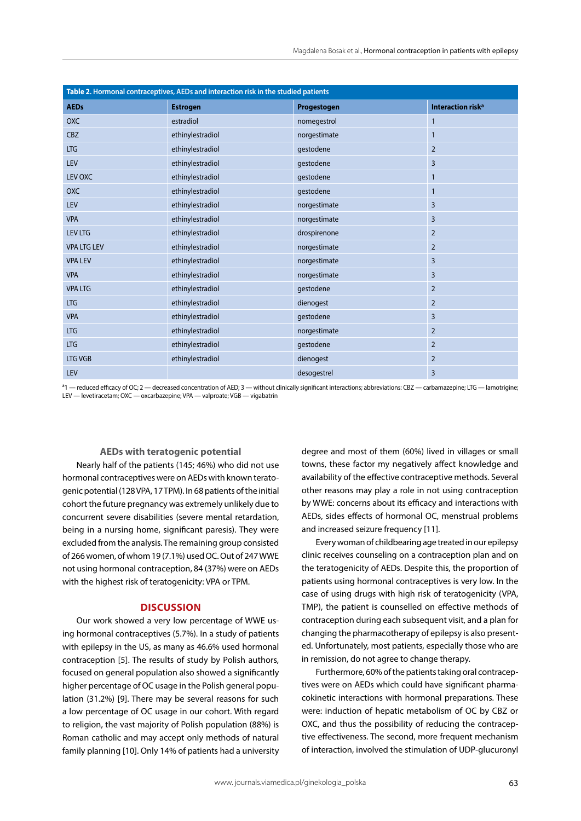| Table 2. Hormonal contraceptives, AEDs and interaction risk in the studied patients |                  |              |                               |
|-------------------------------------------------------------------------------------|------------------|--------------|-------------------------------|
| <b>AEDs</b>                                                                         | <b>Estrogen</b>  | Progestogen  | Interaction risk <sup>a</sup> |
| <b>OXC</b>                                                                          | estradiol        | nomegestrol  | $\mathbf{1}$                  |
| <b>CBZ</b>                                                                          | ethinylestradiol | norgestimate | $\mathbf{1}$                  |
| <b>LTG</b>                                                                          | ethinylestradiol | gestodene    | $\overline{2}$                |
| LEV                                                                                 | ethinylestradiol | gestodene    | 3                             |
| LEV OXC                                                                             | ethinylestradiol | gestodene    | 1                             |
| <b>OXC</b>                                                                          | ethinylestradiol | gestodene    | 1                             |
| LEV                                                                                 | ethinylestradiol | norgestimate | $\overline{3}$                |
| <b>VPA</b>                                                                          | ethinylestradiol | norgestimate | 3                             |
| <b>LEV LTG</b>                                                                      | ethinylestradiol | drospirenone | $\overline{2}$                |
| <b>VPA LTG LEV</b>                                                                  | ethinylestradiol | norgestimate | $\overline{2}$                |
| <b>VPA LEV</b>                                                                      | ethinylestradiol | norgestimate | $\overline{3}$                |
| <b>VPA</b>                                                                          | ethinylestradiol | norgestimate | 3                             |
| <b>VPA LTG</b>                                                                      | ethinylestradiol | gestodene    | $\overline{2}$                |
| <b>LTG</b>                                                                          | ethinylestradiol | dienogest    | $\overline{2}$                |
| <b>VPA</b>                                                                          | ethinylestradiol | gestodene    | $\overline{3}$                |
| <b>LTG</b>                                                                          | ethinylestradiol | norgestimate | $\overline{2}$                |
| <b>LTG</b>                                                                          | ethinylestradiol | gestodene    | $\overline{2}$                |
| <b>LTG VGB</b>                                                                      | ethinylestradiol | dienogest    | $\overline{2}$                |
| LEV                                                                                 |                  | desogestrel  | 3                             |

<sup>a</sup>1 — reduced efficacy of OC; 2 — decreased concentration of AED; 3 — without clinically significant interactions; abbreviations: CBZ — carbamazepine; LTG — lamotrigine; LEV — levetiracetam; OXC — oxcarbazepine; VPA — valproate; VGB — vigabatrin

# **AEDs with teratogenic potential**

Nearly half of the patients (145; 46%) who did not use hormonal contraceptives were on AEDs with known teratogenic potential (128 VPA, 17 TPM). In 68 patients of the initial cohort the future pregnancy was extremely unlikely due to concurrent severe disabilities (severe mental retardation, being in a nursing home, significant paresis). They were excluded from the analysis. The remaining group consisted of 266 women, of whom 19 (7.1%) used OC. Out of 247 WWE not using hormonal contraception, 84 (37%) were on AEDs with the highest risk of teratogenicity: VPA or TPM.

## **DISCUSSION**

Our work showed a very low percentage of WWE using hormonal contraceptives (5.7%). In a study of patients with epilepsy in the US, as many as 46.6% used hormonal contraception [5]. The results of study by Polish authors, focused on general population also showed a significantly higher percentage of OC usage in the Polish general population (31.2%) [9]. There may be several reasons for such a low percentage of OC usage in our cohort. With regard to religion, the vast majority of Polish population (88%) is Roman catholic and may accept only methods of natural family planning [10]. Only 14% of patients had a university degree and most of them (60%) lived in villages or small towns, these factor my negatively affect knowledge and availability of the effective contraceptive methods. Several other reasons may play a role in not using contraception by WWE: concerns about its efficacy and interactions with AEDs, sides effects of hormonal OC, menstrual problems and increased seizure frequency [11].

Every woman of childbearing age treated in our epilepsy clinic receives counseling on a contraception plan and on the teratogenicity of AEDs. Despite this, the proportion of patients using hormonal contraceptives is very low. In the case of using drugs with high risk of teratogenicity (VPA, TMP), the patient is counselled on effective methods of contraception during each subsequent visit, and a plan for changing the pharmacotherapy of epilepsy is also presented. Unfortunately, most patients, especially those who are in remission, do not agree to change therapy.

Furthermore, 60% of the patients taking oral contraceptives were on AEDs which could have significant pharmacokinetic interactions with hormonal preparations. These were: induction of hepatic metabolism of OC by CBZ or OXC, and thus the possibility of reducing the contraceptive effectiveness. The second, more frequent mechanism of interaction, involved the stimulation of UDP-glucuronyl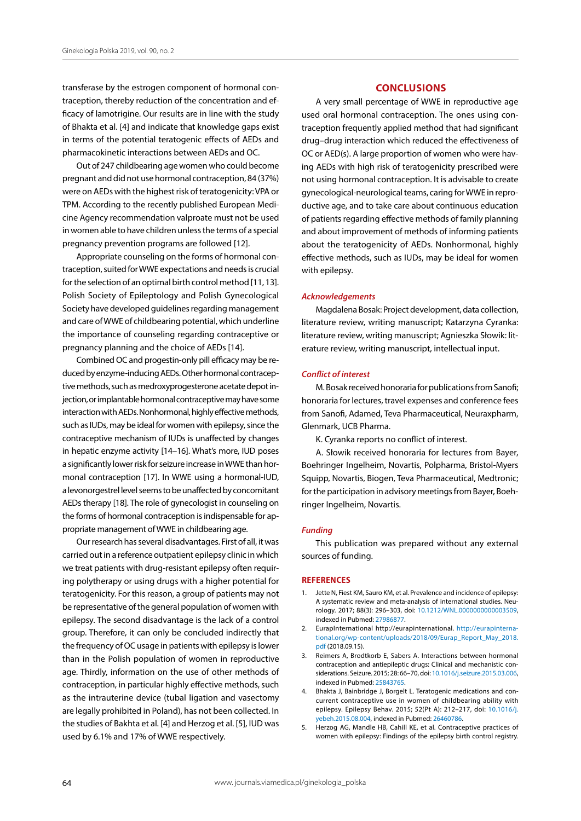transferase by the estrogen component of hormonal contraception, thereby reduction of the concentration and efficacy of lamotrigine. Our results are in line with the study of Bhakta et al. [4] and indicate that knowledge gaps exist in terms of the potential teratogenic effects of AEDs and pharmacokinetic interactions between AEDs and OC.

Out of 247 childbearing age women who could become pregnant and did not use hormonal contraception, 84 (37%) were on AEDs with the highest risk of teratogenicity: VPA or TPM. According to the recently published European Medicine Agency recommendation valproate must not be used in women able to have children unless the terms of a special pregnancy prevention programs are followed [12].

Appropriate counseling on the forms of hormonal contraception, suited for WWE expectations and needs is crucial for the selection of an optimal birth control method [11, 13]. Polish Society of Epileptology and Polish Gynecological Society have developed guidelines regarding management and care of WWE of childbearing potential, which underline the importance of counseling regarding contraceptive or pregnancy planning and the choice of AEDs [14].

Combined OC and progestin-only pill efficacy may be reduced by enzyme-inducing AEDs. Other hormonal contraceptive methods, such as medroxyprogesterone acetate depot injection, or implantable hormonal contraceptive may have some interaction with AEDs. Nonhormonal, highly effective methods, such as IUDs, may be ideal for women with epilepsy, since the contraceptive mechanism of IUDs is unaffected by changes in hepatic enzyme activity [14–16]. What's more, IUD poses a significantly lower risk for seizure increase in WWE than hormonal contraception [17]. In WWE using a hormonal-IUD, a levonorgestrel level seems to be unaffected by concomitant AEDs therapy [18]. The role of gynecologist in counseling on the forms of hormonal contraception is indispensable for appropriate management of WWE in childbearing age.

Our research has several disadvantages. First of all, it was carried out in a reference outpatient epilepsy clinic in which we treat patients with drug-resistant epilepsy often requiring polytherapy or using drugs with a higher potential for teratogenicity. For this reason, a group of patients may not be representative of the general population of women with epilepsy. The second disadvantage is the lack of a control group. Therefore, it can only be concluded indirectly that the frequency of OC usage in patients with epilepsy is lower than in the Polish population of women in reproductive age. Thirdly, information on the use of other methods of contraception, in particular highly effective methods, such as the intrauterine device (tubal ligation and vasectomy are legally prohibited in Poland), has not been collected. In the studies of Bakhta et al. [4] and Herzog et al. [5], IUD was used by 6.1% and 17% of WWE respectively.

# **CONCLUSIONS**

A very small percentage of WWE in reproductive age used oral hormonal contraception. The ones using contraception frequently applied method that had significant drug–drug interaction which reduced the effectiveness of OC or AED(s). A large proportion of women who were having AEDs with high risk of teratogenicity prescribed were not using hormonal contraception. It is advisable to create gynecological-neurological teams, caring for WWE in reproductive age, and to take care about continuous education of patients regarding effective methods of family planning and about improvement of methods of informing patients about the teratogenicity of AEDs. Nonhormonal, highly effective methods, such as IUDs, may be ideal for women with epilepsy.

## *Acknowledgements*

Magdalena Bosak: Project development, data collection, literature review, writing manuscript; Katarzyna Cyranka: literature review, writing manuscript; Agnieszka Słowik: literature review, writing manuscript, intellectual input.

## *Conflict of interest*

M. Bosak received honoraria for publications from Sanofi; honoraria for lectures, travel expenses and conference fees from Sanofi, Adamed, Teva Pharmaceutical, Neuraxpharm, Glenmark, UCB Pharma.

K. Cyranka reports no conflict of interest.

A. Słowik received honoraria for lectures from Bayer, Boehringer Ingelheim, Novartis, Polpharma, Bristol-Myers Squipp, Novartis, Biogen, Teva Pharmaceutical, Medtronic; for the participation in advisory meetings from Bayer, Boehringer Ingelheim, Novartis.

#### *Funding*

This publication was prepared without any external sources of funding.

#### **REFERENCES**

- 1. Jette N, Fiest KM, Sauro KM, et al. Prevalence and incidence of epilepsy: A systematic review and meta-analysis of international studies. Neurology. 2017; 88(3): 296–303, doi: [10.1212/WNL.0000000000003509](http://dx.doi.org/10.1212/WNL.0000000000003509), indexed in Pubmed: [27986877.](https://www.ncbi.nlm.nih.gov/pubmed/27986877)
- 2. EurapInternational http://eurapinternational. [http://eurapinterna](http://eurapinternational.org/wp-content/uploads/2018/09/Eurap_Report_May_2018.pdf)[tional.org/wp-content/uploads/2018/09/Eurap\\_Report\\_May\\_2018.](http://eurapinternational.org/wp-content/uploads/2018/09/Eurap_Report_May_2018.pdf) [pdf](http://eurapinternational.org/wp-content/uploads/2018/09/Eurap_Report_May_2018.pdf) (2018.09.15).
- 3. Reimers A, Brodtkorb E, Sabers A. Interactions between hormonal contraception and antiepileptic drugs: Clinical and mechanistic considerations. Seizure. 2015; 28: 66–70, doi: [10.1016/j.seizure.2015.03.006](http://dx.doi.org/10.1016/j.seizure.2015.03.006), indexed in Pubmed: [25843765.](https://www.ncbi.nlm.nih.gov/pubmed/25843765)
- 4. Bhakta J, Bainbridge J, Borgelt L. Teratogenic medications and concurrent contraceptive use in women of childbearing ability with epilepsy. Epilepsy Behav. 2015; 52(Pt A): 212–217, doi: [10.1016/j.](http://dx.doi.org/10.1016/j.yebeh.2015.08.004) [yebeh.2015.08.004,](http://dx.doi.org/10.1016/j.yebeh.2015.08.004) indexed in Pubmed: [26460786](https://www.ncbi.nlm.nih.gov/pubmed/26460786).
- 5. Herzog AG, Mandle HB, Cahill KE, et al. Contraceptive practices of women with epilepsy: Findings of the epilepsy birth control registry.